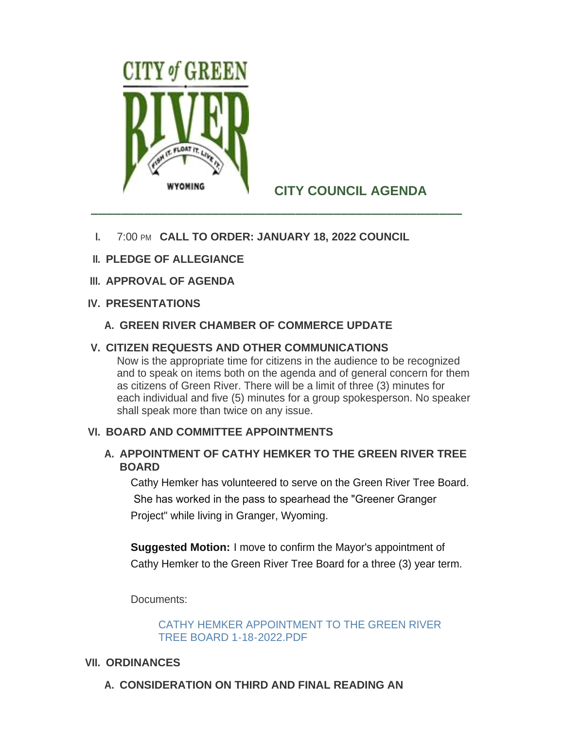

# **CITY COUNCIL AGENDA**

- **I.** 7:00 PM CALL TO ORDER: JANUARY 18, 2022 COUNCIL
- **PLEDGE OF ALLEGIANCE II.**
- **APPROVAL OF AGENDA III.**

## **PRESENTATIONS IV.**

**GREEN RIVER CHAMBER OF COMMERCE UPDATE A.**

# **CITIZEN REQUESTS AND OTHER COMMUNICATIONS V.**

Now is the appropriate time for citizens in the audience to be recognized and to speak on items both on the agenda and of general concern for them as citizens of Green River. There will be a limit of three (3) minutes for each individual and five (5) minutes for a group spokesperson. No speaker shall speak more than twice on any issue.

## **BOARD AND COMMITTEE APPOINTMENTS VI.**

## A. APPOINTMENT OF CATHY HEMKER TO THE GREEN RIVER TREE **BOARD**

Cathy Hemker has volunteered to serve on the Green River Tree Board. She has worked in the pass to spearhead the "Greener Granger Project" while living in Granger, Wyoming.

**Suggested Motion:** I move to confirm the Mayor's appointment of Cathy Hemker to the Green River Tree Board for a three (3) year term.

Documents:

[CATHY HEMKER APPOINTMENT TO THE GREEN RIVER](http://cityofgreenriver.org/AgendaCenter/ViewFile/Item/7898?fileID=47479)  TREE BOARD 1-18-2022.PDF

## **VII. ORDINANCES**

**CONSIDERATION ON THIRD AND FINAL READING AN A.**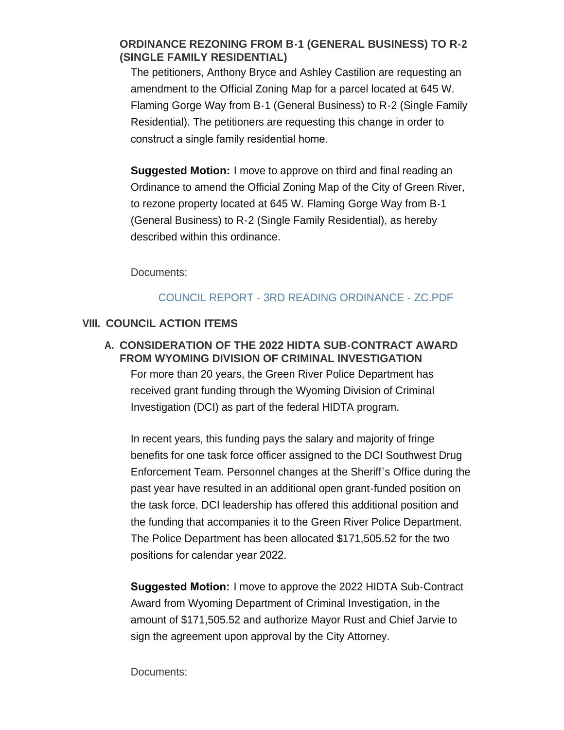## **ORDINANCE REZONING FROM B-1 (GENERAL BUSINESS) TO R-2 (SINGLE FAMILY RESIDENTIAL)**

The petitioners, Anthony Bryce and Ashley Castilion are requesting an amendment to the Official Zoning Map for a parcel located at 645 W. Flaming Gorge Way from B-1 (General Business) to R-2 (Single Family Residential). The petitioners are requesting this change in order to construct a single family residential home.

**Suggested Motion:** I move to approve on third and final reading an Ordinance to amend the Official Zoning Map of the City of Green River, to rezone property located at 645 W. Flaming Gorge Way from B-1 (General Business) to R-2 (Single Family Residential), as hereby described within this ordinance.

Documents:

## [COUNCIL REPORT - 3RD READING ORDINANCE - ZC.PDF](http://cityofgreenriver.org/AgendaCenter/ViewFile/Item/7882?fileID=47472)

## **COUNCIL ACTION ITEMS VIII.**

**CONSIDERATION OF THE 2022 HIDTA SUB-CONTRACT AWARD A. FROM WYOMING DIVISION OF CRIMINAL INVESTIGATION**

For more than 20 years, the Green River Police Department has received grant funding through the Wyoming Division of Criminal Investigation (DCI) as part of the federal HIDTA program.

In recent years, this funding pays the salary and majority of fringe benefits for one task force officer assigned to the DCI Southwest Drug Enforcement Team. Personnel changes at the Sheriff's Office during the past year have resulted in an additional open grant-funded position on the task force. DCI leadership has offered this additional position and the funding that accompanies it to the Green River Police Department. The Police Department has been allocated \$171,505.52 for the two positions for calendar year 2022.

**Suggested Motion:** I move to approve the 2022 HIDTA Sub-Contract Award from Wyoming Department of Criminal Investigation, in the amount of \$171,505.52 and authorize Mayor Rust and Chief Jarvie to sign the agreement upon approval by the City Attorney.

Documents: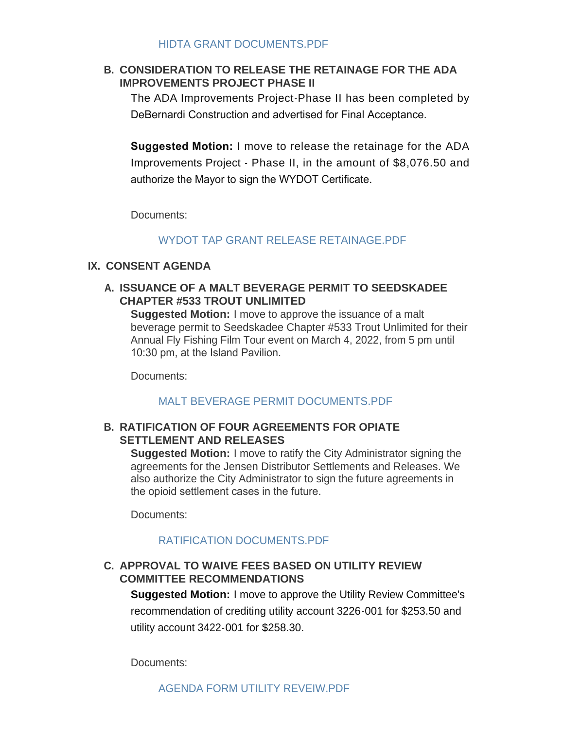#### [HIDTA GRANT DOCUMENTS.PDF](http://cityofgreenriver.org/AgendaCenter/ViewFile/Item/7873?fileID=47301)

### **CONSIDERATION TO RELEASE THE RETAINAGE FOR THE ADA B. IMPROVEMENTS PROJECT PHASE II**

The ADA Improvements Project-Phase II has been completed by DeBernardi Construction and advertised for Final Acceptance.

**Suggested Motion:** I move to release the retainage for the ADA Improvements Project - Phase II, in the amount of \$8,076.50 and authorize the Mayor to sign the WYDOT Certificate.

Documents:

#### [WYDOT TAP GRANT RELEASE RETAINAGE.PDF](http://cityofgreenriver.org/AgendaCenter/ViewFile/Item/7869?fileID=47129)

#### **CONSENT AGENDA IX.**

#### **ISSUANCE OF A MALT BEVERAGE PERMIT TO SEEDSKADEE A. CHAPTER #533 TROUT UNLIMITED**

**Suggested Motion:** I move to approve the issuance of a malt beverage permit to Seedskadee Chapter #533 Trout Unlimited for their Annual Fly Fishing Film Tour event on March 4, 2022, from 5 pm until 10:30 pm, at the Island Pavilion.

Documents:

#### [MALT BEVERAGE PERMIT DOCUMENTS.PDF](http://cityofgreenriver.org/AgendaCenter/ViewFile/Item/7874?fileID=47300)

#### **RATIFICATION OF FOUR AGREEMENTS FOR OPIATE B. SETTLEMENT AND RELEASES**

**Suggested Motion:** I move to ratify the City Administrator signing the agreements for the Jensen Distributor Settlements and Releases. We also authorize the City Administrator to sign the future agreements in the opioid settlement cases in the future.

Documents:

#### [RATIFICATION DOCUMENTS.PDF](http://cityofgreenriver.org/AgendaCenter/ViewFile/Item/7883?fileID=47478)

#### **APPROVAL TO WAIVE FEES BASED ON UTILITY REVIEW C. COMMITTEE RECOMMENDATIONS**

**Suggested Motion:** I move to approve the Utility Review Committee's recommendation of crediting utility account 3226-001 for \$253.50 and utility account 3422-001 for \$258.30.

Documents: